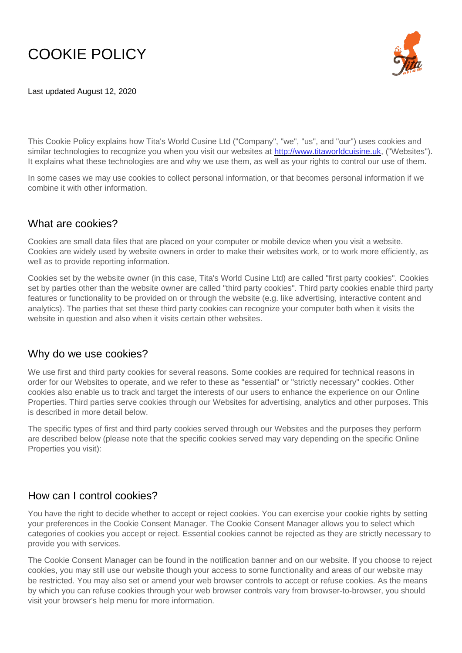# COOKIE POLICY

Last updated August 12, 2020



This Cookie Policy explains how Tita's World Cusine Ltd ("Company", "we", "us", and "our") uses cookies and similar technologies to recognize you when you visit our websites at [http://www.titaworldcuisine.uk,](http://www.titaworldcuisine.uk/) ("Websites"). It explains what these technologies are and why we use them, as well as your rights to control our use of them.

In some cases we may use cookies to collect personal information, or that becomes personal information if we combine it with other information.

# What are cookies?

Cookies are small data files that are placed on your computer or mobile device when you visit a website. Cookies are widely used by website owners in order to make their websites work, or to work more efficiently, as well as to provide reporting information.

Cookies set by the website owner (in this case, Tita's World Cusine Ltd) are called "first party cookies". Cookies set by parties other than the website owner are called "third party cookies". Third party cookies enable third party features or functionality to be provided on or through the website (e.g. like advertising, interactive content and analytics). The parties that set these third party cookies can recognize your computer both when it visits the website in question and also when it visits certain other websites.

# Why do we use cookies?

We use first and third party cookies for several reasons. Some cookies are required for technical reasons in order for our Websites to operate, and we refer to these as "essential" or "strictly necessary" cookies. Other cookies also enable us to track and target the interests of our users to enhance the experience on our Online Properties. Third parties serve cookies through our Websites for advertising, analytics and other purposes. This is described in more detail below.

The specific types of first and third party cookies served through our Websites and the purposes they perform are described below (please note that the specific cookies served may vary depending on the specific Online Properties you visit):

# How can I control cookies?

You have the right to decide whether to accept or reject cookies. You can exercise your cookie rights by setting your preferences in the Cookie Consent Manager. The Cookie Consent Manager allows you to select which categories of cookies you accept or reject. Essential cookies cannot be rejected as they are strictly necessary to provide you with services.

The Cookie Consent Manager can be found in the notification banner and on our website. If you choose to reject cookies, you may still use our website though your access to some functionality and areas of our website may be restricted. You may also set or amend your web browser controls to accept or refuse cookies. As the means by which you can refuse cookies through your web browser controls vary from browser-to-browser, you should visit your browser's help menu for more information.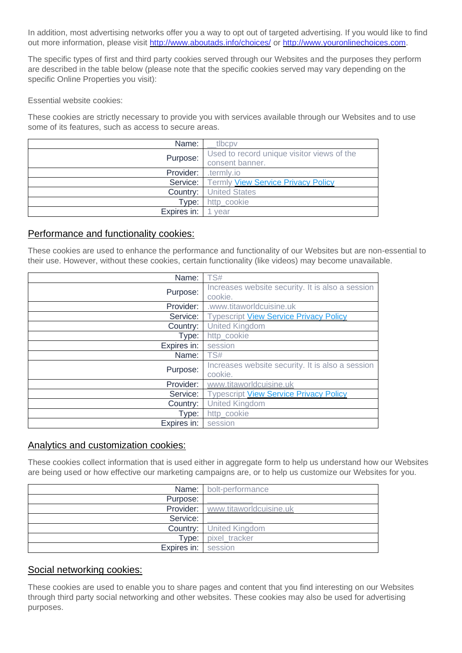In addition, most advertising networks offer you a way to opt out of targeted advertising. If you would like to find out more information, please visit<http://www.aboutads.info/choices/> or [http://www.youronlinechoices.com.](http://www.youronlinechoices.com/)

The specific types of first and third party cookies served through our Websites and the purposes they perform are described in the table below (please note that the specific cookies served may vary depending on the specific Online Properties you visit):

Essential website cookies:

These cookies are strictly necessary to provide you with services available through our Websites and to use some of its features, such as access to secure areas.

| Name:       | tlbcpv                                                      |
|-------------|-------------------------------------------------------------|
| Purpose:    | Used to record unique visitor views of the                  |
|             | consent banner.                                             |
| Provider:   | termly.io.                                                  |
|             | <b>Service:</b>   Termly <b>View Service Privacy Policy</b> |
| Country:    | <b>United States</b>                                        |
| Type:       | http cookie                                                 |
| Expires in: | vear                                                        |

#### Performance and functionality cookies:

These cookies are used to enhance the performance and functionality of our Websites but are non-essential to their use. However, without these cookies, certain functionality (like videos) may become unavailable.

| Name:       | TS#                                              |
|-------------|--------------------------------------------------|
| Purpose:    | Increases website security. It is also a session |
|             | cookie.                                          |
| Provider:   | .www.titaworldcuisine.uk                         |
| Service:    | <b>Typescript View Service Privacy Policy</b>    |
| Country:    | <b>United Kingdom</b>                            |
| Type:       | http_cookie                                      |
| Expires in: | session                                          |
| Name:       | TS#                                              |
| Purpose:    | Increases website security. It is also a session |
|             | cookie.                                          |
| Provider:   | www.titaworldcuisine.uk                          |
| Service:    | <b>Typescript View Service Privacy Policy</b>    |
| Country:    | <b>United Kingdom</b>                            |
| Type:       | http_cookie                                      |
| Expires in: | session                                          |

#### Analytics and customization cookies:

These cookies collect information that is used either in aggregate form to help us understand how our Websites are being used or how effective our marketing campaigns are, or to help us customize our Websites for you.

|                     | Name: bolt-performance                   |
|---------------------|------------------------------------------|
| Purpose:            |                                          |
|                     | <b>Provider:</b> www.titaworldcuisine.uk |
| Service:            |                                          |
|                     | <b>Country:</b> United Kingdom           |
| Type:               | pixel tracker                            |
| Expires in: session |                                          |

#### Social networking cookies:

These cookies are used to enable you to share pages and content that you find interesting on our Websites through third party social networking and other websites. These cookies may also be used for advertising purposes.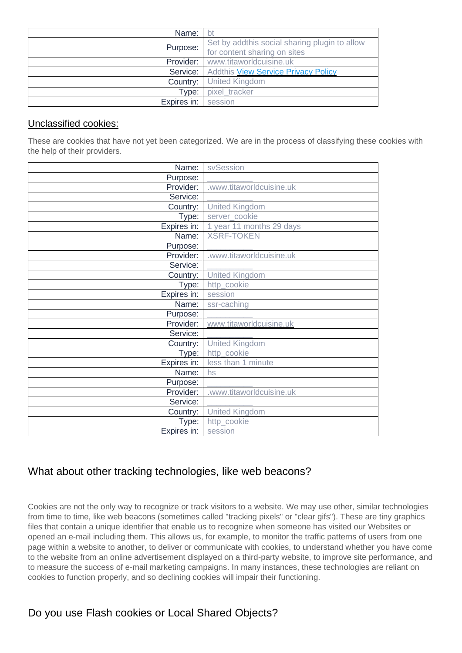| Name:       | bt                                                                            |
|-------------|-------------------------------------------------------------------------------|
| Purpose:    | Set by addthis social sharing plugin to allow<br>for content sharing on sites |
| Provider:   | www.titaworldcuisine.uk                                                       |
|             | Service: Addthis View Service Privacy Policy                                  |
| Country:    | <b>United Kingdom</b>                                                         |
| Type:       | pixel tracker                                                                 |
| Expires in: | session                                                                       |

#### Unclassified cookies:

These are cookies that have not yet been categorized. We are in the process of classifying these cookies with the help of their providers.

| Name:                             | svSession                |
|-----------------------------------|--------------------------|
| Purpose:                          |                          |
| Provider:                         | .www.titaworldcuisine.uk |
| Service:                          |                          |
| Country:                          | <b>United Kingdom</b>    |
| Type:                             | server_cookie            |
| $\overline{\mathsf{Expires}}$ in: | 1 year 11 months 29 days |
| Name:                             | <b>XSRF-TOKEN</b>        |
| Purpose:                          |                          |
| Provider:                         | .www.titaworldcuisine.uk |
| Service:                          |                          |
| Country:                          | <b>United Kingdom</b>    |
| Type:                             | http_cookie              |
| Expires in:                       | session                  |
| Name:                             | ssr-caching              |
| Purpose:                          |                          |
| Provider:                         | www.titaworldcuisine.uk  |
| Service:                          |                          |
| Country:                          | <b>United Kingdom</b>    |
| Type:                             | http_cookie              |
| Expires in:                       | less than 1 minute       |
| Name:                             | hs                       |
| Purpose:                          |                          |
| Provider:                         | .www.titaworldcuisine.uk |
| Service:                          |                          |
| Country:                          | <b>United Kingdom</b>    |
| Type:                             | http_cookie              |
| Expires in:                       | session                  |

# What about other tracking technologies, like web beacons?

Cookies are not the only way to recognize or track visitors to a website. We may use other, similar technologies from time to time, like web beacons (sometimes called "tracking pixels" or "clear gifs"). These are tiny graphics files that contain a unique identifier that enable us to recognize when someone has visited our Websites or opened an e-mail including them. This allows us, for example, to monitor the traffic patterns of users from one page within a website to another, to deliver or communicate with cookies, to understand whether you have come to the website from an online advertisement displayed on a third-party website, to improve site performance, and to measure the success of e-mail marketing campaigns. In many instances, these technologies are reliant on cookies to function properly, and so declining cookies will impair their functioning.

# Do you use Flash cookies or Local Shared Objects?